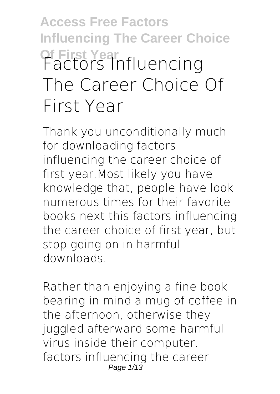## **Access Free Factors Influencing The Career Choice Of First Year Factors Influencing The Career Choice Of First Year**

Thank you unconditionally much for downloading **factors influencing the career choice of first year**.Most likely you have knowledge that, people have look numerous times for their favorite books next this factors influencing the career choice of first year, but stop going on in harmful downloads.

Rather than enjoying a fine book bearing in mind a mug of coffee in the afternoon, otherwise they juggled afterward some harmful virus inside their computer. **factors influencing the career** Page 1/13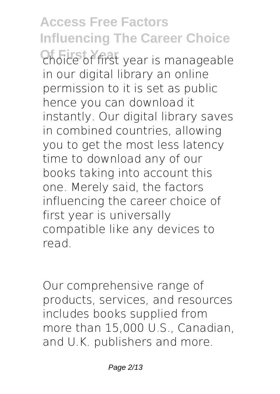**Access Free Factors Influencing The Career Choice Of First Year choice of first year** is manageable in our digital library an online permission to it is set as public hence you can download it instantly. Our digital library saves in combined countries, allowing you to get the most less latency time to download any of our books taking into account this one. Merely said, the factors influencing the career choice of first year is universally compatible like any devices to read.

Our comprehensive range of products, services, and resources includes books supplied from more than 15,000 U.S., Canadian, and U.K. publishers and more.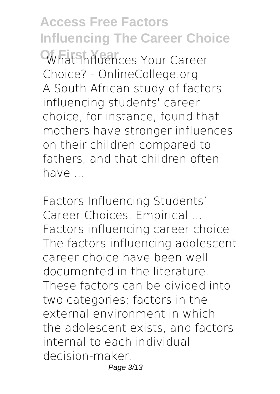**Access Free Factors Influencing The Career Choice Of First Year What Influences Your Career Choice? - OnlineCollege.org** A South African study of factors influencing students' career choice, for instance, found that mothers have stronger influences on their children compared to fathers, and that children often have

**Factors Influencing Students' Career Choices: Empirical ...** Factors influencing career choice The factors influencing adolescent career choice have been well documented in the literature. These factors can be divided into two categories; factors in the external environment in which the adolescent exists, and factors internal to each individual decision-maker. Page 3/13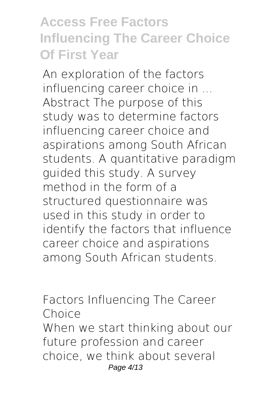## **Access Free Factors Influencing The Career Choice Of First Year**

**An exploration of the factors influencing career choice in ...** Abstract The purpose of this study was to determine factors influencing career choice and aspirations among South African students. A quantitative paradigm guided this study. A survey method in the form of a structured questionnaire was used in this study in order to identify the factors that influence career choice and aspirations among South African students.

**Factors Influencing The Career Choice** When we start thinking about our future profession and career choice, we think about several Page 4/13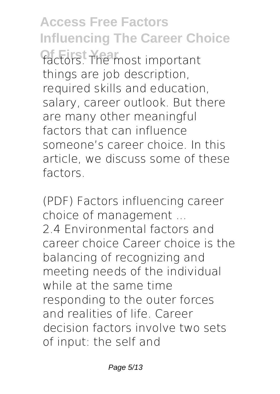**Access Free Factors Influencing The Career Choice** factors. The most important things are job description, required skills and education, salary, career outlook. But there are many other meaningful factors that can influence someone's career choice. In this article, we discuss some of these factors.

**(PDF) Factors influencing career choice of management ...** 2.4 Environmental factors and career choice Career choice is the balancing of recognizing and meeting needs of the individual while at the same time responding to the outer forces and realities of life. Career decision factors involve two sets of input: the self and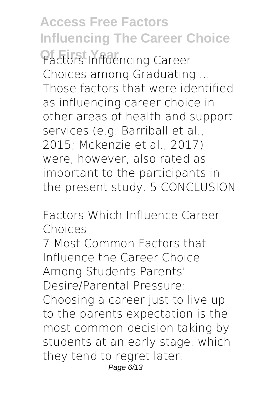**Access Free Factors Influencing The Career Choice Of First Year Factors Influencing Career Choices among Graduating ...** Those factors that were identified as influencing career choice in other areas of health and support services (e.g. Barriball et al., 2015; Mckenzie et al., 2017) were, however, also rated as important to the participants in the present study. 5 CONCLUSION

**Factors Which Influence Career Choices**

7 Most Common Factors that Influence the Career Choice Among Students Parents' Desire/Parental Pressure: Choosing a career just to live up to the parents expectation is the most common decision taking by students at an early stage, which they tend to regret later. Page 6/13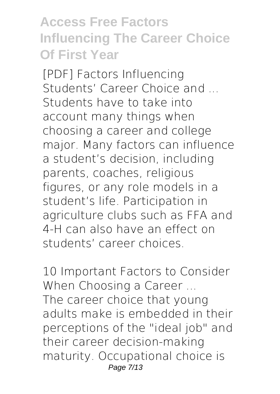## **Access Free Factors Influencing The Career Choice Of First Year**

**[PDF] Factors Influencing Students' Career Choice and ...** Students have to take into account many things when choosing a career and college major. Many factors can influence a student's decision, including parents, coaches, religious figures, or any role models in a student's life. Participation in agriculture clubs such as FFA and 4-H can also have an effect on students' career choices.

**10 Important Factors to Consider When Choosing a Career ...** The career choice that young adults make is embedded in their perceptions of the "ideal job" and their career decision-making maturity. Occupational choice is Page 7/13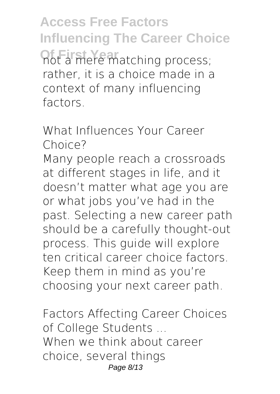**Access Free Factors Influencing The Career Choice Of First Preferanching process;** rather, it is a choice made in a context of many influencing factors.

**What Influences Your Career Choice?**

Many people reach a crossroads at different stages in life, and it doesn't matter what age you are or what jobs you've had in the past. Selecting a new career path should be a carefully thought-out process. This guide will explore ten critical career choice factors. Keep them in mind as you're choosing your next career path.

**Factors Affecting Career Choices of College Students ...** When we think about career choice, several things Page 8/13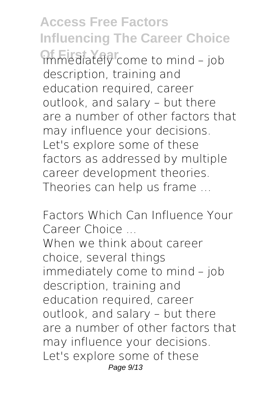**Access Free Factors Influencing The Career Choice Of First Year** immediately come to mind – job description, training and education required, career outlook, and salary – but there are a number of other factors that may influence your decisions. Let's explore some of these factors as addressed by multiple career development theories. Theories can help us frame …

**Factors Which Can Influence Your Career Choice ...** When we think about career choice, several things immediately come to mind – job description, training and education required, career outlook, and salary – but there are a number of other factors that may influence your decisions. Let's explore some of these Page 9/13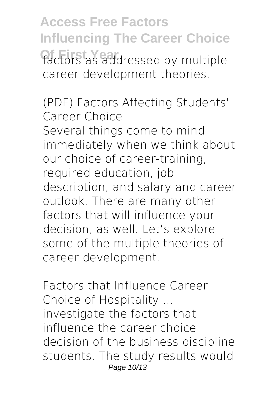**Access Free Factors Influencing The Career Choice** factors as addressed by multiple career development theories.

**(PDF) Factors Affecting Students' Career Choice** Several things come to mind immediately when we think about our choice of career-training, required education, job description, and salary and career outlook. There are many other factors that will influence your decision, as well. Let's explore some of the multiple theories of career development.

**Factors that Influence Career Choice of Hospitality ...** investigate the factors that influence the career choice decision of the business discipline students. The study results would Page 10/13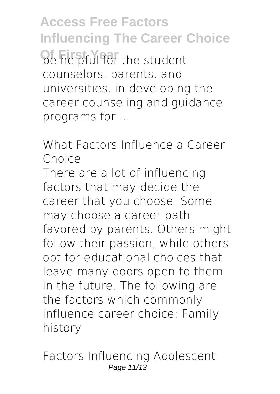**Access Free Factors Influencing The Career Choice De helpful for the student** counselors, parents, and universities, in developing the career counseling and guidance programs for ...

**What Factors Influence a Career Choice**

There are a lot of influencing factors that may decide the career that you choose. Some may choose a career path favored by parents. Others might follow their passion, while others opt for educational choices that leave many doors open to them in the future. The following are the factors which commonly influence career choice: Family history

**Factors Influencing Adolescent** Page 11/13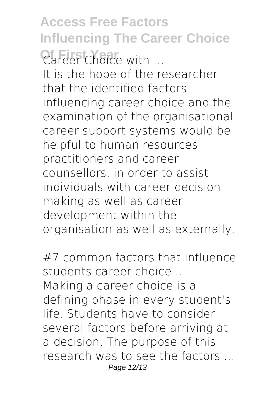**Access Free Factors Influencing The Career Choice Of First Year Career Choice with ...** It is the hope of the researcher that the identified factors influencing career choice and the examination of the organisational career support systems would be helpful to human resources practitioners and career counsellors, in order to assist individuals with career decision making as well as career development within the organisation as well as externally.

**#7 common factors that influence students career choice ...** Making a career choice is a defining phase in every student's life. Students have to consider several factors before arriving at a decision. The purpose of this research was to see the factors ... Page 12/13